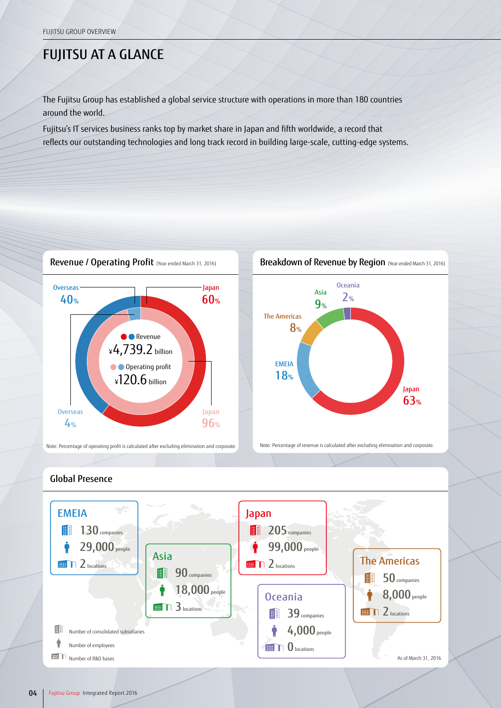## FUJITSU AT A GLANCE

The Fujitsu Group has established a global service structure with operations in more than 180 countries around the world.

Fujitsu's IT services business ranks top by market share in Japan and fifth worldwide, a record that reflects our outstanding technologies and long track record in building large-scale, cutting-edge systems.





Note: Percentage of operating profit is calculated after excluding elimination and corporate. Note: Percentage of revenue is calculated after excluding elimination and corporate.



## Global Presence